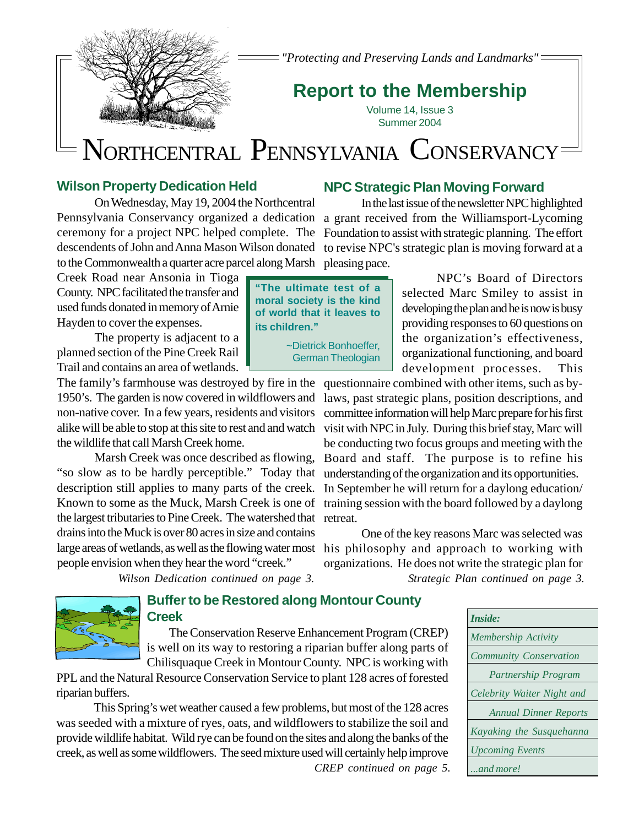

*"Protecting and Preserving Lands and Landmarks"*

# **Report to the Membership**

Volume 14, Issue 3 Summer 2004

# NORTHCENTRAL PENNSYLVANIA CONSERVANCY

# **Wilson Property Dedication Held**

On Wednesday, May 19, 2004 the Northcentral Pennsylvania Conservancy organized a dedication a grant received from the Williamsport-Lycoming ceremony for a project NPC helped complete. The Foundation to assist with strategic planning. The effort descendents of John and Anna Mason Wilson donated to revise NPC's strategic plan is moving forward at a to the Commonwealth a quarter acre parcel along Marsh pleasing pace.

Creek Road near Ansonia in Tioga County. NPC facilitated the transfer and used funds donated in memory of Arnie Hayden to cover the expenses.

The property is adjacent to a planned section of the Pine Creek Rail Trail and contains an area of wetlands.

The family's farmhouse was destroyed by fire in the questionnaire combined with other items, such as bythe wildlife that call Marsh Creek home.

"so slow as to be hardly perceptible." Today that understanding of the organization and its opportunities. the largest tributaries to Pine Creek. The watershed that retreat. drains into the Muck is over 80 acres in size and contains people envision when they hear the word "creek."

**NPC Strategic Plan Moving Forward**

In the last issue of the newsletter NPC highlighted

NPC's Board of Directors selected Marc Smiley to assist in developing the plan and he is now is busy providing responses to 60 questions on the organization's effectiveness, organizational functioning, and board development processes. This

1950's. The garden is now covered in wildflowers and laws, past strategic plans, position descriptions, and non-native cover. In a few years, residents and visitors committee information will help Marc prepare for his first alike will be able to stop at this site to rest and and watch visit with NPC in July. During this brief stay, Marc will Marsh Creek was once described as flowing, Board and staff. The purpose is to refine his description still applies to many parts of the creek. In September he will return for a daylong education/ Known to some as the Muck, Marsh Creek is one of training session with the board followed by a daylong be conducting two focus groups and meeting with the

large areas of wetlands, as well as the flowing water most his philosophy and approach to working with *Wilson Dedication continued on page 3. Strategic Plan continued on page 3.* One of the key reasons Marc was selected was organizations. He does not write the strategic plan for

### **Buffer to be Restored along Montour County Creek**

The Conservation Reserve Enhancement Program (CREP) is well on its way to restoring a riparian buffer along parts of Chilisquaque Creek in Montour County. NPC is working with

PPL and the Natural Resource Conservation Service to plant 128 acres of forested riparian buffers.

This Spring's wet weather caused a few problems, but most of the 128 acres was seeded with a mixture of ryes, oats, and wildflowers to stabilize the soil and provide wildlife habitat. Wild rye can be found on the sites and along the banks of the creek, as well as some wildflowers. The seed mixture used will certainly help improve

*CREP continued on page 5.*

| Inside: |                               |
|---------|-------------------------------|
|         | Membership Activity           |
|         | <b>Community Conservation</b> |
|         | Partnership Program           |
|         | Celebrity Waiter Night and    |
|         | <b>Annual Dinner Reports</b>  |
|         | Kayaking the Susquehanna      |
|         | <b>Upcoming Events</b>        |
|         | and more!                     |

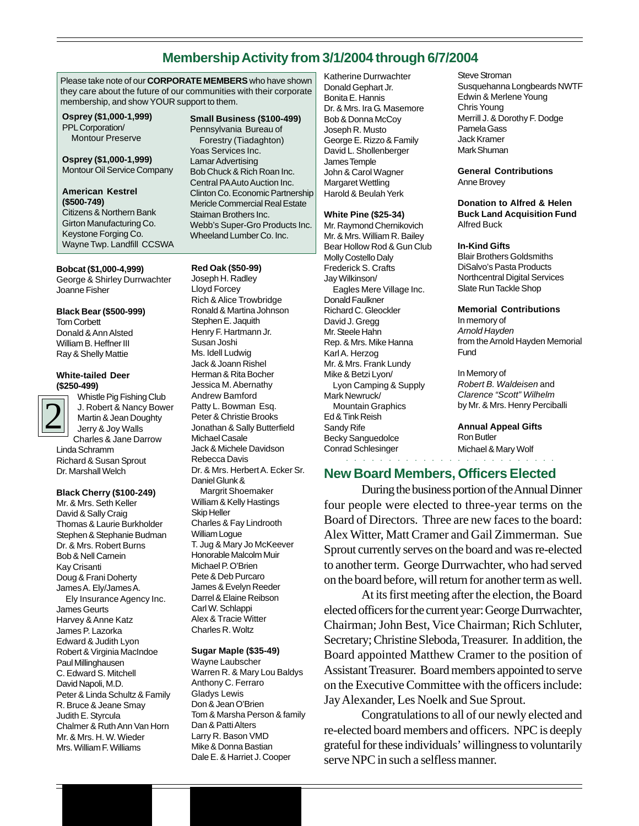# **Membership Activity from 3/1/2004 through 6/7/2004**

Please take note of our **CORPORATE MEMBERS** who have shown they care about the future of our communities with their corporate membership, and show YOUR support to them.

**Osprey (\$1,000-1,999)** PPL Corporation/ Montour Preserve

**Osprey (\$1,000-1,999)** Montour Oil Service Company

### **American Kestrel (\$500-749)** Citizens & Northern Bank Girton Manufacturing Co. Keystone Forging Co. Wayne Twp. Landfill CCSWA

**Bobcat (\$1,000-4,999)** George & Shirley Durrwachter Joanne Fisher

# **Black Bear (\$500-999)**

Tom Corbett Donald & Ann Alsted William B. Heffner III Ray & Shelly Mattie

### **White-tailed Deer (\$250-499)**



Whistle Pig Fishing Club J. Robert & Nancy Bower Martin & Jean Doughty Jerry & Joy Walls Charles & Jane Darrow Linda Schramm Richard & Susan Sprout Dr. Marshall Welch

### **Black Cherry (\$100-249)**

Mr. & Mrs. Seth Keller David & Sally Craig Thomas & Laurie Burkholder Stephen & Stephanie Budman Dr. & Mrs. Robert Burns Bob & Nell Carnein Kay Crisanti Doug & Frani Doherty James A. Ely/James A. Ely Insurance Agency Inc. James Geurts Harvey & Anne Katz James P. Lazorka Edward & Judith Lyon Robert & Virginia MacIndoe Paul Millinghausen C. Edward S. Mitchell David Napoli, M.D. Peter & Linda Schultz & Family R. Bruce & Jeane Smay Judith E. Styrcula Chalmer & Ruth Ann Van Horn Mr. & Mrs. H. W. Wieder Mrs. William F. Williams

### **Small Business (\$100-499)** Pennsylvania Bureau of Forestry (Tiadaghton) Yoas Services Inc. Lamar Advertising Bob Chuck & Rich Roan Inc. Central PA Auto Auction Inc. Clinton Co. Economic Partnership Mericle Commercial Real Estate Staiman Brothers Inc. Webb's Super-Gro Products Inc. Wheeland Lumber Co. Inc.

**Red Oak (\$50-99)** Joseph H. Radley Lloyd Forcey Rich & Alice Trowbridge Ronald & Martina Johnson Stephen E. Jaquith Henry F. Hartmann Jr. Susan Joshi Ms. Idell Ludwig Jack & Joann Rishel Herman & Rita Bocher Jessica M. Abernathy Andrew Bamford Patty L. Bowman Esq. Peter & Christie Brooks Jonathan & Sally Butterfield Michael Casale Jack & Michele Davidson Rebecca Davis Dr. & Mrs. Herbert A. Ecker Sr. Daniel Glunk & Margrit Shoemaker William & Kelly Hastings Skip Heller Charles & Fay Lindrooth William Logue T. Jug & Mary Jo McKeever Honorable Malcolm Muir Michael P. O'Brien Pete & Deb Purcaro James & Evelyn Reeder Darrel & Elaine Reibson Carl W. Schlappi Alex & Tracie Witter Charles R. Woltz

### **Sugar Maple (\$35-49)**

Wayne Laubscher Warren R. & Mary Lou Baldys Anthony C. Ferraro Gladys Lewis Don & Jean O'Brien Tom & Marsha Person & family Dan & Patti Alters Larry R. Bason VMD Mike & Donna Bastian Dale E. & Harriet J. Cooper

Katherine Durrwachter Donald Gephart Jr. Bonita E. Hannis Dr. & Mrs. Ira G. Masemore Bob & Donna McCoy Joseph R. Musto George E. Rizzo & Family David L. Shollenberger James Temple John & Carol Wagner Margaret Wettling Harold & Beulah Yerk

### **White Pine (\$25-34)**

Mr. Raymond Chernikovich Mr. & Mrs. William R. Bailey Bear Hollow Rod & Gun Club Molly Costello Daly Frederick S. Crafts Jay Wilkinson/ Eagles Mere Village Inc. Donald Faulkner Richard C. Gleockler David J. Gregg Mr. Steele Hahn Rep. & Mrs. Mike Hanna Karl A. Herzog Mr. & Mrs. Frank Lundy Mike & Betzi Lyon/ Lyon Camping & Supply Mark Newruck/ Mountain Graphics Ed & Tink Reish Sandy Rife Becky Sanguedolce Conrad Schlesinger

Steve Stroman Susquehanna Longbeards NWTF Edwin & Merlene Young Chris Young Merrill J. & Dorothy F. Dodge Pamela Gass Jack Kramer Mark Shuman

**General Contributions** Anne Brovey

**Donation to Alfred & Helen Buck Land Acquisition Fund** Alfred Buck

### **In-Kind Gifts**

**Fund** 

Blair Brothers Goldsmiths DiSalvo's Pasta Products Northcentral Digital Services Slate Run Tackle Shop

**Memorial Contributions** In memory of *Arnold Hayden* from the Arnold Hayden Memorial

In Memory of *Robert B. Waldeisen* and *Clarence "Scott" Wilhelm* by Mr. & Mrs. Henry Perciballi

**Annual Appeal Gifts** Ron Butler Michael & Mary Wolf

○○○○○○○○○○○○○○○○ ○○○○○○○○○ **New Board Members, Officers Elected**

During the business portion of the Annual Dinner four people were elected to three-year terms on the Board of Directors. Three are new faces to the board: Alex Witter, Matt Cramer and Gail Zimmerman. Sue Sprout currently serves on the board and was re-elected to another term. George Durrwachter, who had served on the board before, will return for another term as well.

At its first meeting after the election, the Board elected officers for the current year: George Durrwachter, Chairman; John Best, Vice Chairman; Rich Schluter, Secretary; Christine Sleboda, Treasurer. In addition, the Board appointed Matthew Cramer to the position of Assistant Treasurer. Board members appointed to serve on the Executive Committee with the officers include: Jay Alexander, Les Noelk and Sue Sprout.

Congratulations to all of our newly elected and re-elected board members and officers. NPC is deeply grateful for these individuals' willingness to voluntarily serve NPC in such a selfless manner.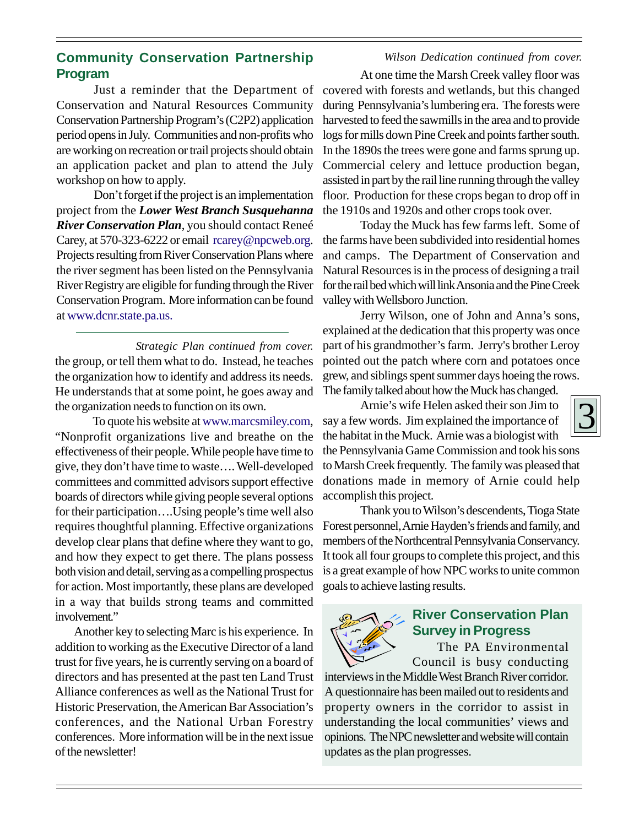# **Community Conservation Partnership Program**

Just a reminder that the Department of Conservation and Natural Resources Community Conservation Partnership Program's (C2P2) application period opens in July. Communities and non-profits who are working on recreation or trail projects should obtain an application packet and plan to attend the July workshop on how to apply.

Don't forget if the project is an implementation project from the *Lower West Branch Susquehanna River Conservation Plan*, you should contact Reneé Carey, at 570-323-6222 or email rcarey@npcweb.org. Projects resulting from River Conservation Plans where the river segment has been listed on the Pennsylvania River Registry are eligible for funding through the River Conservation Program. More information can be found at www.dcnr.state.pa.us.

the group, or tell them what to do. Instead, he teaches the organization how to identify and address its needs. He understands that at some point, he goes away and the organization needs to function on its own. *Strategic Plan continued from cover.*

To quote his website at www.marcsmiley.com, "Nonprofit organizations live and breathe on the effectiveness of their people. While people have time to give, they don't have time to waste…. Well-developed committees and committed advisors support effective boards of directors while giving people several options for their participation….Using people's time well also requires thoughtful planning. Effective organizations develop clear plans that define where they want to go, and how they expect to get there. The plans possess both vision and detail, serving as a compelling prospectus for action. Most importantly, these plans are developed in a way that builds strong teams and committed involvement."

Another key to selecting Marc is his experience. In addition to working as the Executive Director of a land trust for five years, he is currently serving on a board of directors and has presented at the past ten Land Trust Alliance conferences as well as the National Trust for Historic Preservation, the American Bar Association's conferences, and the National Urban Forestry conferences. More information will be in the next issue of the newsletter!

At one time the Marsh Creek valley floor was covered with forests and wetlands, but this changed during Pennsylvania's lumbering era. The forests were harvested to feed the sawmills in the area and to provide logs for mills down Pine Creek and points farther south. In the 1890s the trees were gone and farms sprung up. Commercial celery and lettuce production began, assisted in part by the rail line running through the valley floor. Production for these crops began to drop off in the 1910s and 1920s and other crops took over. *Wilson Dedication continued from cover.*

Today the Muck has few farms left. Some of the farms have been subdivided into residential homes and camps. The Department of Conservation and Natural Resources is in the process of designing a trail for the rail bed which will link Ansonia and the Pine Creek valley with Wellsboro Junction.

Jerry Wilson, one of John and Anna's sons, explained at the dedication that this property was once part of his grandmother's farm. Jerry's brother Leroy pointed out the patch where corn and potatoes once grew, and siblings spent summer days hoeing the rows. The family talked about how the Muck has changed.

Arnie's wife Helen asked their son Jim to say a few words. Jim explained the importance of the habitat in the Muck. Arnie was a biologist with

the Pennsylvania Game Commission and took his sons to Marsh Creek frequently. The family was pleased that donations made in memory of Arnie could help accomplish this project.

Thank you to Wilson's descendents, Tioga State Forest personnel, Arnie Hayden's friends and family, and members of the Northcentral Pennsylvania Conservancy. It took all four groups to complete this project, and this is a great example of how NPC works to unite common goals to achieve lasting results.



# **River Conservation Plan Survey in Progress**

The PA Environmental Council is busy conducting

interviews in the Middle West Branch River corridor. A questionnaire has been mailed out to residents and property owners in the corridor to assist in understanding the local communities' views and opinions. The NPC newsletter and website will contain updates as the plan progresses.

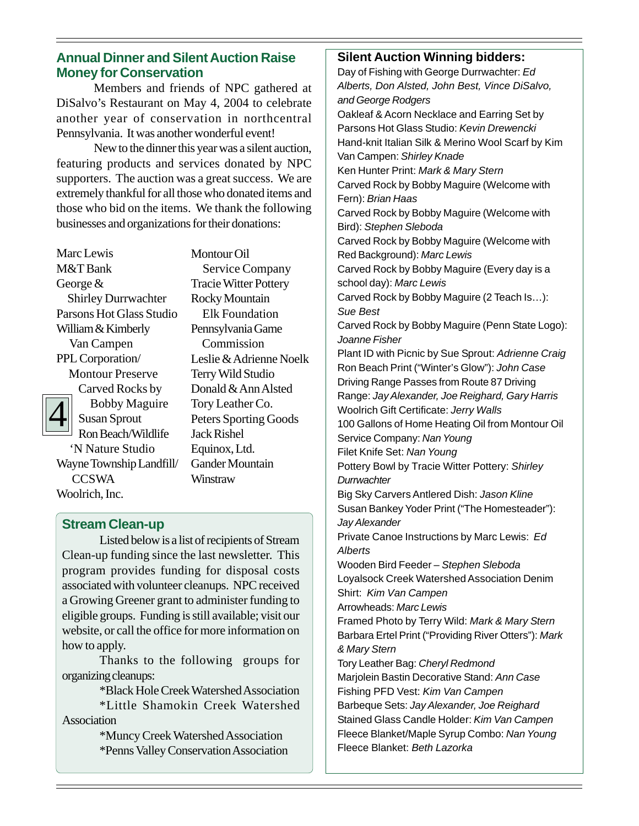# **Annual Dinner and Silent Auction Raise Money for Conservation**

Members and friends of NPC gathered at DiSalvo's Restaurant on May 4, 2004 to celebrate another year of conservation in northcentral Pennsylvania. It was another wonderful event!

New to the dinner this year was a silent auction, featuring products and services donated by NPC supporters. The auction was a great success. We are extremely thankful for all those who donated items and those who bid on the items. We thank the following businesses and organizations for their donations:

Marc Lewis M&T Bank George & Shirley Durrwachter Parsons Hot Glass Studio William & Kimberly Van Campen PPL Corporation/

 Montour Preserve Carved Rocks by



 Bobby Maguire Susan Sprout Ron Beach/Wildlife 'N Nature Studio Wayne Township Landfill/ **CCSWA** 

Woolrich, Inc.

Montour Oil Service Company Tracie Witter Pottery Rocky Mountain Elk Foundation Pennsylvania Game Commission Leslie & Adrienne Noelk Terry Wild Studio Donald & Ann Alsted Tory Leather Co. Peters Sporting Goods Jack Rishel Equinox, Ltd. Gander Mountain **Winstraw** 

# **Stream Clean-up**

Listed below is a list of recipients of Stream Clean-up funding since the last newsletter. This program provides funding for disposal costs associated with volunteer cleanups. NPC received a Growing Greener grant to administer funding to eligible groups. Funding is still available; visit our website, or call the office for more information on how to apply.

Thanks to the following groups for organizing cleanups:

\*Black Hole Creek Watershed Association

\*Little Shamokin Creek Watershed Association

\*Muncy Creek Watershed Association \*Penns Valley Conservation Association

# **Silent Auction Winning bidders:**

Day of Fishing with George Durrwachter: *Ed Alberts, Don Alsted, John Best, Vince DiSalvo, and George Rodgers* Oakleaf & Acorn Necklace and Earring Set by Parsons Hot Glass Studio: *Kevin Drewencki* Hand-knit Italian Silk & Merino Wool Scarf by Kim Van Campen: *Shirley Knade* Ken Hunter Print: *Mark & Mary Stern* Carved Rock by Bobby Maguire (Welcome with Fern): *Brian Haas* Carved Rock by Bobby Maguire (Welcome with Bird): *Stephen Sleboda* Carved Rock by Bobby Maguire (Welcome with Red Background): *Marc Lewis* Carved Rock by Bobby Maguire (Every day is a school day): *Marc Lewis* Carved Rock by Bobby Maguire (2 Teach Is…): *Sue Best* Carved Rock by Bobby Maguire (Penn State Logo): *Joanne Fisher* Plant ID with Picnic by Sue Sprout: *Adrienne Craig* Ron Beach Print ("Winter's Glow"): *John Case* Driving Range Passes from Route 87 Driving Range: *Jay Alexander, Joe Reighard, Gary Harris* Woolrich Gift Certificate: *Jerry Walls* 100 Gallons of Home Heating Oil from Montour Oil Service Company: *Nan Young* Filet Knife Set: *Nan Young* Pottery Bowl by Tracie Witter Pottery: *Shirley Durrwachter* Big Sky Carvers Antlered Dish: *Jason Kline* Susan Bankey Yoder Print ("The Homesteader"): *Jay Alexander* Private Canoe Instructions by Marc Lewis: *Ed Alberts* Wooden Bird Feeder – *Stephen Sleboda* Loyalsock Creek Watershed Association Denim Shirt: *Kim Van Campen* Arrowheads: *Marc Lewis* Framed Photo by Terry Wild: *Mark & Mary Stern* Barbara Ertel Print ("Providing River Otters"): *Mark & Mary Stern* Tory Leather Bag: *Cheryl Redmond* Marjolein Bastin Decorative Stand: *Ann Case* Fishing PFD Vest: *Kim Van Campen* Barbeque Sets: *Jay Alexander, Joe Reighard* Stained Glass Candle Holder: *Kim Van Campen* Fleece Blanket/Maple Syrup Combo: *Nan Young* Fleece Blanket: *Beth Lazorka*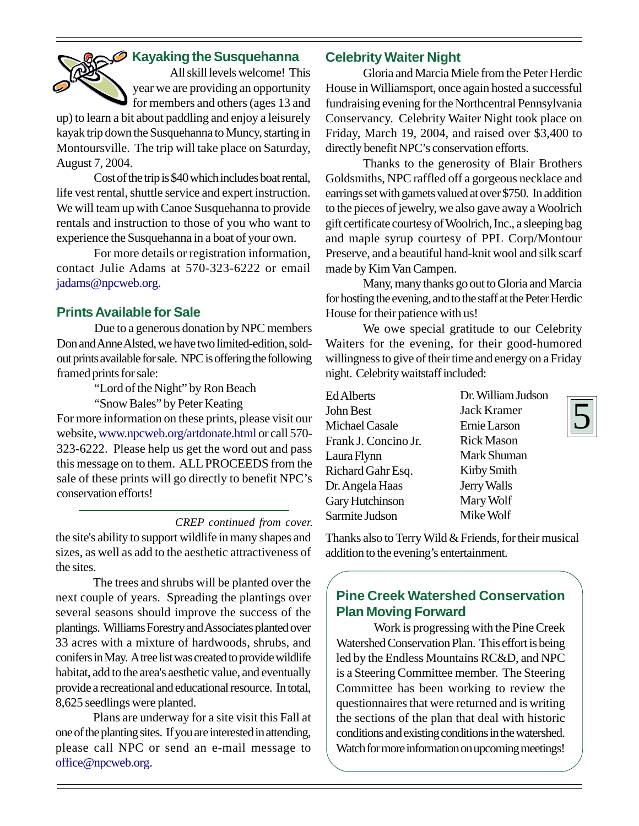

# **Kayaking the Susquehanna**

All skill levels welcome! This year we are providing an opportunity for members and others (ages 13 and

up) to learn a bit about paddling and enjoy a leisurely kayak trip down the Susquehanna to Muncy, starting in Montoursville. The trip will take place on Saturday, August 7, 2004.

Cost of the trip is \$40 which includes boat rental, life vest rental, shuttle service and expert instruction. We will team up with Canoe Susquehanna to provide rentals and instruction to those of you who want to experience the Susquehanna in a boat of your own.

For more details or registration information, contact Julie Adams at 570-323-6222 or email jadams@npcweb.org.

# **Prints Available for Sale**

Due to a generous donation by NPC members Don and Anne Alsted, we have two limited-edition, soldout prints available for sale. NPC is offering the following framed prints for sale:

"Lord of the Night" by Ron Beach

"Snow Bales" by Peter Keating

For more information on these prints, please visit our website, www.npcweb.org/artdonate.html or call 570- 323-6222. Please help us get the word out and pass this message on to them. ALL PROCEEDS from the sale of these prints will go directly to benefit NPC's conservation efforts!

*CREP continued from cover.* the site's ability to support wildlife in many shapes and sizes, as well as add to the aesthetic attractiveness of the sites.

The trees and shrubs will be planted over the next couple of years. Spreading the plantings over several seasons should improve the success of the plantings. Williams Forestry and Associates planted over 33 acres with a mixture of hardwoods, shrubs, and conifers in May. A tree list was created to provide wildlife habitat, add to the area's aesthetic value, and eventually provide a recreational and educational resource. In total, 8,625 seedlings were planted.

Plans are underway for a site visit this Fall at one of the planting sites. If you are interested in attending, please call NPC or send an e-mail message to office@npcweb.org.

# **Celebrity Waiter Night**

Gloria and Marcia Miele from the Peter Herdic House in Williamsport, once again hosted a successful fundraising evening for the Northcentral Pennsylvania Conservancy. Celebrity Waiter Night took place on Friday, March 19, 2004, and raised over \$3,400 to directly benefit NPC's conservation efforts.

Thanks to the generosity of Blair Brothers Goldsmiths, NPC raffled off a gorgeous necklace and earrings set with garnets valued at over \$750. In addition to the pieces of jewelry, we also gave away a Woolrich gift certificate courtesy of Woolrich, Inc., a sleeping bag and maple syrup courtesy of PPL Corp/Montour Preserve, and a beautiful hand-knit wool and silk scarf made by Kim Van Campen.

Many, many thanks go out to Gloria and Marcia for hosting the evening, and to the staff at the Peter Herdic House for their patience with us!

We owe special gratitude to our Celebrity Waiters for the evening, for their good-humored willingness to give of their time and energy on a Friday night. Celebrity waitstaff included:

| <b>Ed Alberts</b>    | Dr. W       |
|----------------------|-------------|
| John Best            | Jack        |
| Michael Casale       | Ernie       |
| Frank J. Concino Jr. | <b>Rick</b> |
| Laura Flynn          | Mark        |
| Richard Gahr Esq.    | Kirby       |
| Dr. Angela Haas      | Jerry       |
| Gary Hutchinson      | Mary        |
| Sarmite Judson       | Mike        |

Villiam Judson Kramer Larson **Mason** Shuman Kirby Smith Walls Mary Wolf Mike Wolf

Thanks also to Terry Wild & Friends, for their musical addition to the evening's entertainment.

# **Pine Creek Watershed Conservation Plan Moving Forward**

Work is progressing with the Pine Creek Watershed Conservation Plan. This effort is being led by the Endless Mountains RC&D, and NPC is a Steering Committee member. The Steering Committee has been working to review the questionnaires that were returned and is writing the sections of the plan that deal with historic conditions and existing conditions in the watershed. Watch for more information on upcoming meetings!